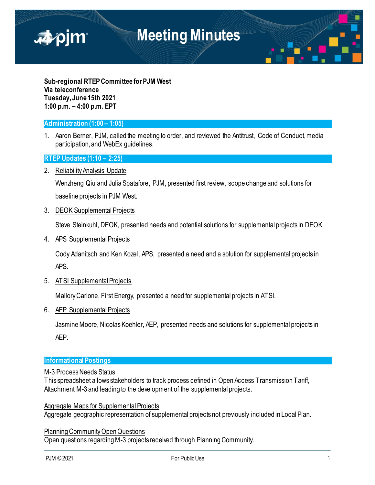

**Sub-regional RTEP Committee for PJM West Via teleconference Tuesday,June 15th 2021 1:00 p.m. – 4:00 p.m. EPT**

## **Administration (1:00 – 1:05)**

1. Aaron Berner, PJM, called the meeting to order, and reviewed the Antitrust, Code of Conduct, media participation, and WebEx guidelines.

## **RTEP Updates (1:10 – 2:25)**

2. Reliability Analysis Update

Wenzheng Qiu and Julia Spatafore, PJM, presented first review, scope change and solutions for baseline projects in PJM West.

#### 3. DEOK Supplemental Projects

Steve Steinkuhl, DEOK, presented needs and potential solutions for supplemental projects in DEOK.

4. APS Supplemental Projects

Cody Adanitsch and Ken Kozel, APS, presented a need and a solution for supplemental projects in APS.

#### 5. ATSI Supplemental Projects

Mallory Carlone, First Energy, presented a need for supplemental projects in ATSI.

6. AEP Supplemental Projects

Jasmine Moore, Nicolas Koehler, AEP, presented needs and solutions for supplemental projects in AEP.

## **Informational Postings**

#### M-3 Process Needs Status

This spreadsheet allows stakeholders to track process defined in Open Access Transmission Tariff, Attachment M-3 and leading to the development of the supplemental projects.

#### Aggregate Maps for Supplemental Projects

Aggregate geographic representation of supplemental projects not previously included in Local Plan.

Planning Community Open Questions Open questions regarding M-3 projects received through Planning Community.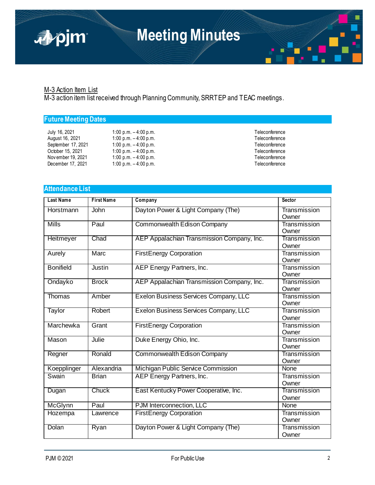

### M-3 Action Item List

M-3 action item list received through Planning Community, SRRTEP and TEAC meetings.

# **Future Meeting Dates**

| July 16, 2021      | 1:0 |
|--------------------|-----|
| August 16, 2021    | 1:0 |
| September 17, 2021 | 1:0 |
| October 15, 2021   | 1:0 |
| Nov ember 19, 2021 | 1:0 |
| December 17, 2021  | 1:0 |

- July 16, 2021 1:00 p.m. 4:00 p.m. Teleconference August 16, 2021 1:00 p.m. – 4:00 p.m. Teleconference September 17, 2021 1:00 p.m. – 17, 2021 1:00 p.m. – 4:00 p.m. – 4:00 p.m. Teleconference<br>
September 17, 2021 1:00 p.m. Teleconference Op.m. – 4:00 p.m.<br>
0 p.m. – 4:00 p.m. Teleconference is a set of the conference in the Teleconference is a set of the conference 0 p.m. – 4:00 p.m.<br>
0 p.m. – 4:00 p.m. Teleconference<br>
0 p.m. – 4:00 p.m. Teleconference 0 p.m. – 4:00 p.m.
	-

# **Attendance List**

| <b>Last Name</b> | <b>First Name</b> | Company                                    | <b>Sector</b>         |
|------------------|-------------------|--------------------------------------------|-----------------------|
| Horstmann        | John              | Dayton Power & Light Company (The)         | Transmission<br>Owner |
| <b>Mills</b>     | Paul              | Commonwealth Edison Company                | Transmission<br>Owner |
| Heitmeyer        | Chad              | AEP Appalachian Transmission Company, Inc. | Transmission<br>Owner |
| Aurely           | Marc              | <b>FirstEnergy Corporation</b>             | Transmission<br>Owner |
| <b>Bonifield</b> | Justin            | AEP Energy Partners, Inc.                  | Transmission<br>Owner |
| Ondayko          | <b>Brock</b>      | AEP Appalachian Transmission Company, Inc. | Transmission<br>Owner |
| Thomas           | Amber             | Exelon Business Services Company, LLC      | Transmission<br>Owner |
| Taylor           | Robert            | Exelon Business Services Company, LLC      | Transmission<br>Owner |
| Marchewka        | Grant             | <b>FirstEnergy Corporation</b>             | Transmission<br>Owner |
| Mason            | Julie             | Duke Energy Ohio, Inc.                     | Transmission<br>Owner |
| Regner           | Ronald            | <b>Commonwealth Edison Company</b>         | Transmission<br>Owner |
| Koepplinger      | Alexandria        | Michigan Public Service Commission         | None                  |
| Swain            | <b>Brian</b>      | AEP Energy Partners, Inc.                  | Transmission<br>Owner |
| Dugan            | Chuck             | East Kentucky Power Cooperative, Inc.      | Transmission<br>Owner |
| <b>McGlynn</b>   | Paul              | PJM Interconnection, LLC                   | None                  |
| Hozempa          | Lawrence          | <b>FirstEnergy Corporation</b>             | Transmission<br>Owner |
| Dolan            | Ryan              | Dayton Power & Light Company (The)         | Transmission<br>Owner |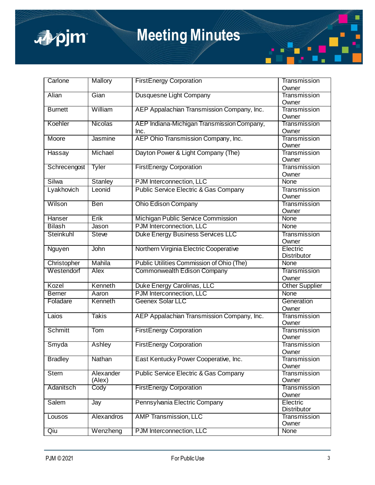

# **Meeting Minutes**

| Carlone        | Mallory        | <b>FirstEnergy Corporation</b>                   | Transmission                   |
|----------------|----------------|--------------------------------------------------|--------------------------------|
|                |                |                                                  | Owner                          |
| Alian          | Gian           | Dusquesne Light Company                          | Transmission                   |
|                |                |                                                  | Owner                          |
| <b>Burnett</b> | William        | AEP Appalachian Transmission Company, Inc.       | Transmission                   |
|                |                |                                                  | Owner                          |
| Koehler        | <b>Nicolas</b> | AEP Indiana-Michigan Transmission Company,       | Transmission                   |
|                |                | Inc.                                             | Owner                          |
| Moore          | Jasmine        | AEP Ohio Transmission Company, Inc.              | Transmission<br>Owner          |
| Hassay         | Michael        | Dayton Power & Light Company (The)               | Transmission                   |
|                |                |                                                  | Owner                          |
| Schrecengost   | Tyler          | <b>FirstEnergy Corporation</b>                   | Transmission<br>Owner          |
| Silwa          | Stanley        | PJM Interconnection, LLC                         | None                           |
| Lyakhovich     | Leonid         | <b>Public Service Electric &amp; Gas Company</b> | Transmission                   |
|                |                |                                                  | Owner                          |
| Wilson         | Ben            | <b>Ohio Edison Company</b>                       | Transmission                   |
| Hanser         | Erik           |                                                  | Owner<br><b>None</b>           |
|                |                | Michigan Public Service Commission               |                                |
| <b>Bilash</b>  | Jason          | PJM Interconnection, LLC                         | None                           |
| Steinkuhl      | <b>Steve</b>   | <b>Duke Energy Business Services LLC</b>         | Transmission<br>Owner          |
| Nguyen         | John           | Northern Virginia Electric Cooperative           | Electric<br>Distributor        |
| Christopher    | Mahila         | Public Utilities Commission of Ohio (The)        | None                           |
| Westendorf     | Alex           | Commonwealth Edison Company                      | Transmission                   |
|                |                |                                                  | Owner                          |
| Kozel          | Kenneth        | Duke Energy Carolinas, LLC                       | <b>Other Supplier</b>          |
| <b>Berner</b>  | Aaron          | PJM Interconnection, LLC                         | None                           |
| Foladare       | Kenneth        | Geenex Solar LLC                                 | Generation<br>Owner            |
| Laios          | <b>Takis</b>   | AEP Appalachian Transmission Company, Inc.       | Transmission                   |
|                |                |                                                  | Owner                          |
| <b>Schmitt</b> | Tom            | <b>FirstEnergy Corporation</b>                   | Transmission                   |
|                |                |                                                  | Owner                          |
| Smyda          | Ashley         | <b>FirstEnergy Corporation</b>                   | Transmission                   |
|                |                |                                                  | Owner                          |
| <b>Bradley</b> | Nathan         | East Kentucky Power Cooperative, Inc.            | <b>Transmission</b><br>Owner   |
| <b>Stern</b>   | Alexander      | Public Service Electric & Gas Company            | Transmission                   |
|                | (Alex)         |                                                  | Owner                          |
| Adanitsch      | Cody           | <b>FirstEnergy Corporation</b>                   | Transmission                   |
|                |                |                                                  | Owner                          |
| Salem          | Jay            | Pennsylvania Electric Company                    | Electric<br><b>Distributor</b> |
| Lousos         | Alexandros     | <b>AMP Transmission, LLC</b>                     | Transmission                   |
|                |                |                                                  | Owner                          |
| Qiu            | Wenzheng       | PJM Interconnection, LLC                         | None                           |
|                |                |                                                  |                                |